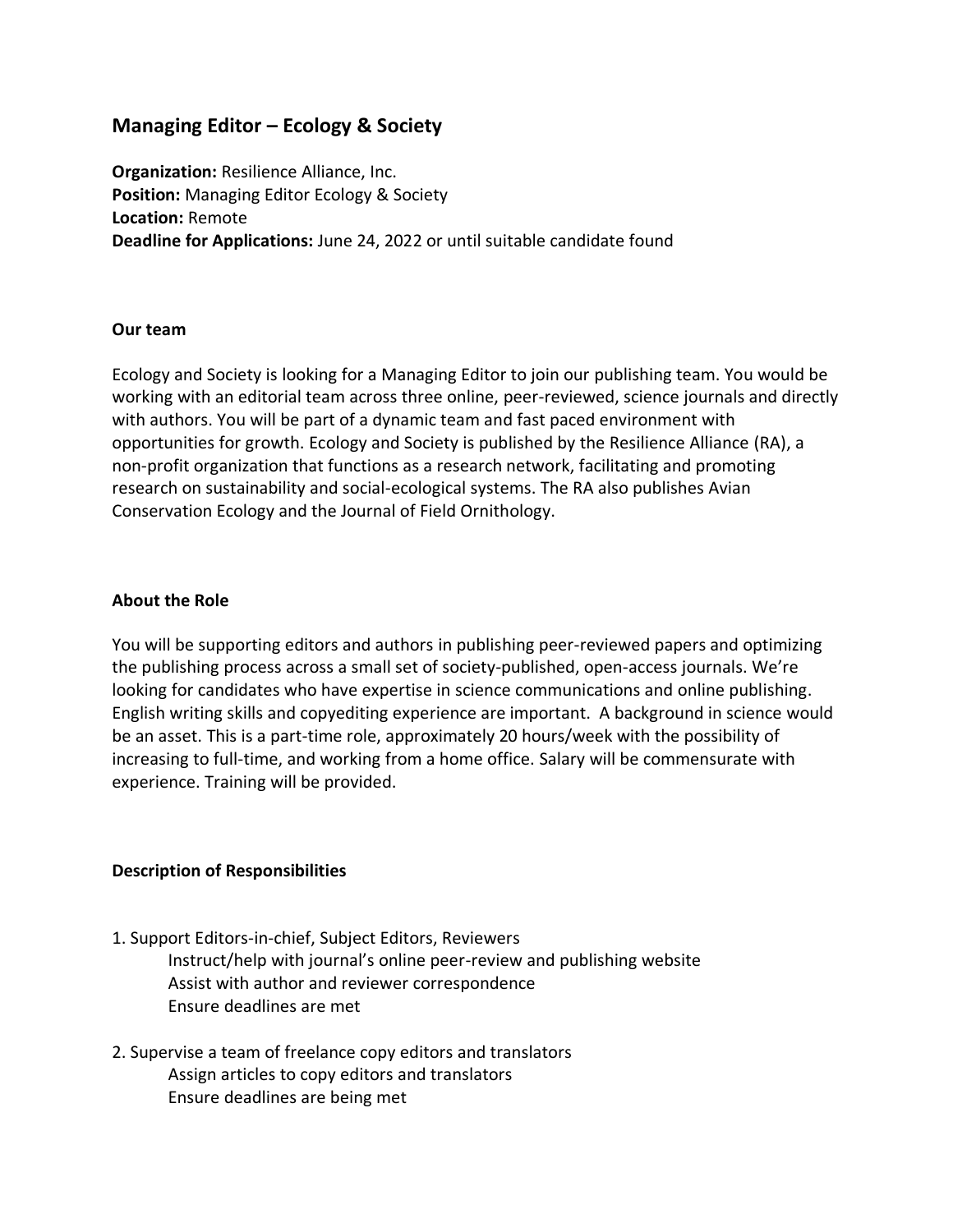# **Managing Editor – Ecology & Society**

**Organization: Resilience Alliance, Inc. Position:** Managing Editor Ecology & Society **Location:** Remote **Deadline for Applications:** June 24, 2022 or until suitable candidate found

### **Our team**

Ecology and Society is looking for a Managing Editor to join our publishing team. You would be working with an editorial team across three online, peer-reviewed, science journals and directly with authors. You will be part of a dynamic team and fast paced environment with opportunities for growth. Ecology and Society is published by the Resilience Alliance (RA), a non-profit organization that functions as a research network, facilitating and promoting research on sustainability and social-ecological systems. The RA also publishes Avian Conservation Ecology and the Journal of Field Ornithology.

### **About the Role**

You will be supporting editors and authors in publishing peer-reviewed papers and optimizing the publishing process across a small set of society-published, open-access journals. We're looking for candidates who have expertise in science communications and online publishing. English writing skills and copyediting experience are important. A background in science would be an asset. This is a part-time role, approximately 20 hours/week with the possibility of increasing to full-time, and working from a home office. Salary will be commensurate with experience. Training will be provided.

### **Description of Responsibilities**

- 1. Support Editors-in-chief, Subject Editors, Reviewers Instruct/help with journal's online peer-review and publishing website Assist with author and reviewer correspondence Ensure deadlines are met
- 2. Supervise a team of freelance copy editors and translators Assign articles to copy editors and translators Ensure deadlines are being met